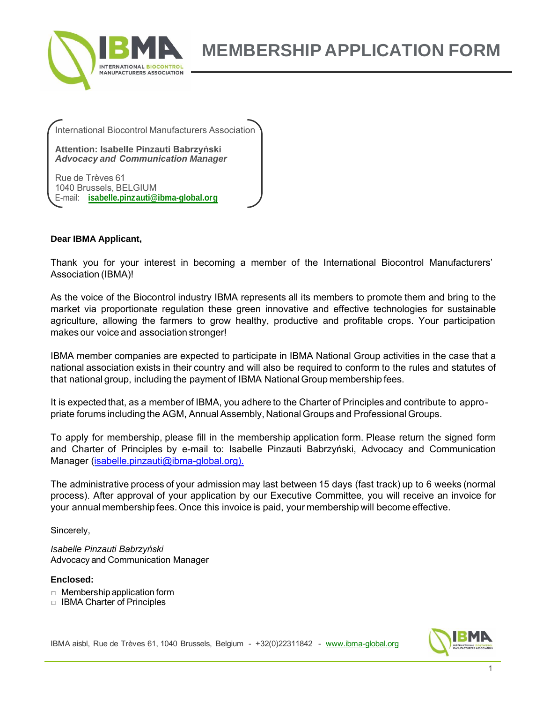

**MEMBERSHIP APPLICATION FORM**

International Biocontrol Manufacturers Association

**Attention: Isabelle Pinzauti Babrzyński** *Advocacy and Communication Manager*

Rue de Trèves 61 1040 Brussels, BELGIUM E-mail: **[isabelle.pinzauti@ibma-global.org](mailto:isabelle.pinzauti@ibma-global.org)**

#### **Dear IBMA Applicant,**

Thank you for your interest in becoming a member of the International Biocontrol Manufacturers' Association (IBMA)!

As the voice of the Biocontrol industry IBMA represents all its members to promote them and bring to the market via proportionate regulation these green innovative and effective technologies for sustainable agriculture, allowing the farmers to grow healthy, productive and profitable crops. Your participation makes our voice and association stronger!

IBMA member companies are expected to participate in IBMA National Group activities in the case that a national association exists in their country and will also be required to conform to the rules and statutes of that national group, including the payment of IBMA National Group membership fees.

It is expected that, as a member of IBMA, you adhere to the Charter of Principles and contribute to appropriate forums including the AGM, Annual Assembly, National Groups and Professional Groups.

To apply for membership, please fill in the membership application form. Please return the signed form and Charter of Principles by e-mail to: Isabelle Pinzauti Babrzyński, Advocacy and Communication Manager (isabelle.pinzauti@ibma-global.org).

The administrative process of your admission may last between 15 days (fast track) up to 6 weeks (normal process). After approval of your application by our Executive Committee, you will receive an invoice for your annual membership fees. Once this invoice is paid, your membership will become effective.

Sincerely,

*Isabelle Pinzauti Babrzyński* Advocacy and Communication Manager

#### **Enclosed:**

- □ Membership application form
- □ IBMA Charter of Principles



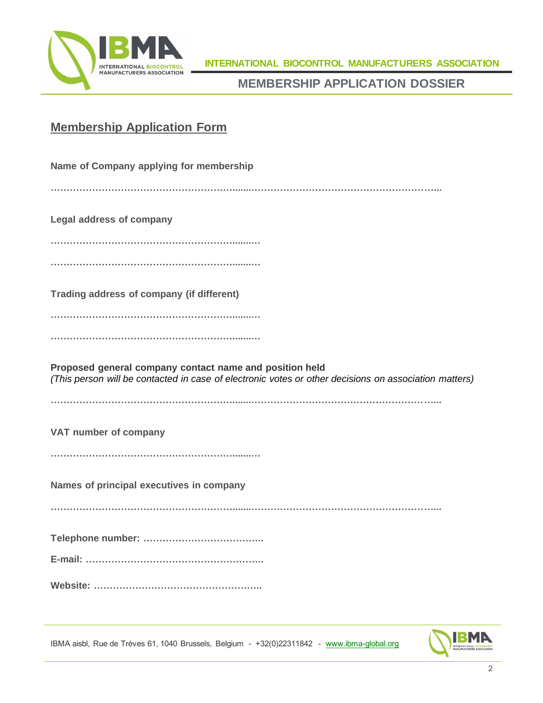

**INTERNATIONAL BIOCONTROL MANUFACTURERS ASSOCIATION**

**MEMBERSHIP APPLICATION DOSSIER**

## **Membership Application Form**

| Name of Company applying for membership                                                                                                                          |
|------------------------------------------------------------------------------------------------------------------------------------------------------------------|
|                                                                                                                                                                  |
| <b>Legal address of company</b>                                                                                                                                  |
|                                                                                                                                                                  |
|                                                                                                                                                                  |
| Trading address of company (if different)                                                                                                                        |
|                                                                                                                                                                  |
|                                                                                                                                                                  |
| Proposed general company contact name and position held<br>(This person will be contacted in case of electronic votes or other decisions on association matters) |
|                                                                                                                                                                  |
| VAT number of company                                                                                                                                            |
|                                                                                                                                                                  |
| Names of principal executives in company                                                                                                                         |
|                                                                                                                                                                  |
|                                                                                                                                                                  |
|                                                                                                                                                                  |
|                                                                                                                                                                  |
|                                                                                                                                                                  |

IBMA aisbl, Rue de Trèves 61, 1040 Brussels, Belgium - +32(0)22311842 - [www.ibma-global.org](http://www.ibma-global.org/)

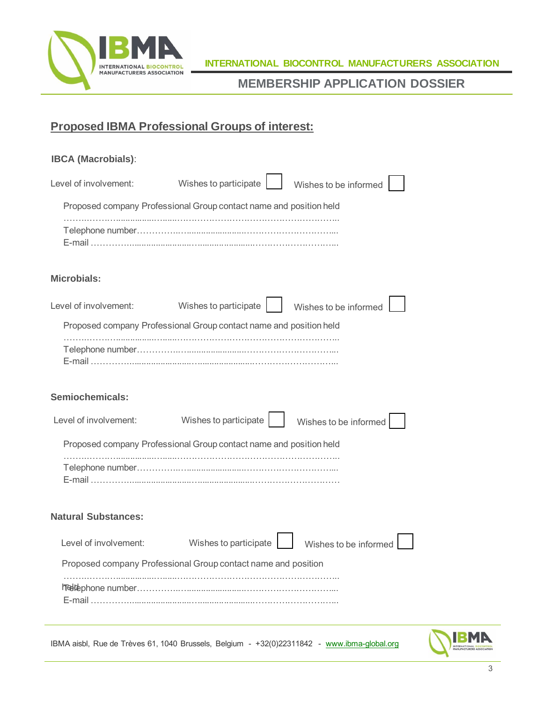

## **Proposed IBMA Professional Groups of interest:**

| <b>IBCA (Macrobials):</b>                                                                   |                                                                    |                       |  |
|---------------------------------------------------------------------------------------------|--------------------------------------------------------------------|-----------------------|--|
| Level of involvement:                                                                       | Wishes to participate                                              | Wishes to be informed |  |
|                                                                                             | Proposed company Professional Group contact name and position held |                       |  |
|                                                                                             |                                                                    |                       |  |
| <b>Microbials:</b>                                                                          |                                                                    |                       |  |
| Level of involvement:                                                                       | Wishes to participate                                              | Wishes to be informed |  |
|                                                                                             | Proposed company Professional Group contact name and position held |                       |  |
|                                                                                             |                                                                    |                       |  |
| <b>Semiochemicals:</b>                                                                      |                                                                    |                       |  |
| Level of involvement:                                                                       | Wishes to participate                                              | Wishes to be informed |  |
|                                                                                             | Proposed company Professional Group contact name and position held |                       |  |
|                                                                                             |                                                                    |                       |  |
| <b>Natural Substances:</b>                                                                  |                                                                    |                       |  |
| Level of involvement:                                                                       | Wishes to participate                                              | Wishes to be informed |  |
|                                                                                             | Proposed company Professional Group contact name and position      |                       |  |
|                                                                                             |                                                                    |                       |  |
| IBMA aisbl, Rue de Trèves 61, 1040 Brussels, Belgium - +32(0)22311842 - www.ibma-global.org |                                                                    |                       |  |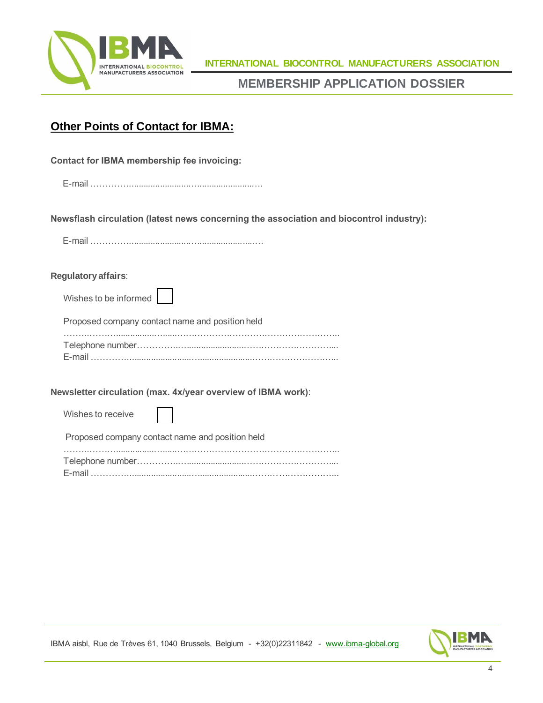

## **Other Points of Contact for IBMA:**

| <b>Contact for IBMA membership fee invoicing:</b>                                       |
|-----------------------------------------------------------------------------------------|
|                                                                                         |
| Newsflash circulation (latest news concerning the association and biocontrol industry): |
|                                                                                         |
| Regulatory affairs:                                                                     |
| Wishes to be informed                                                                   |
| Proposed company contact name and position held                                         |
|                                                                                         |
| Newsletter circulation (max. 4x/year overview of IBMA work):                            |
| Wishes to receive                                                                       |
| Proposed company contact name and position held                                         |
|                                                                                         |



IBMA aisbl, Rue de Trèves 61, 1040 Brussels, Belgium - +32(0)22311842 - [www.ibma-global.org](http://www.ibma-global.org/)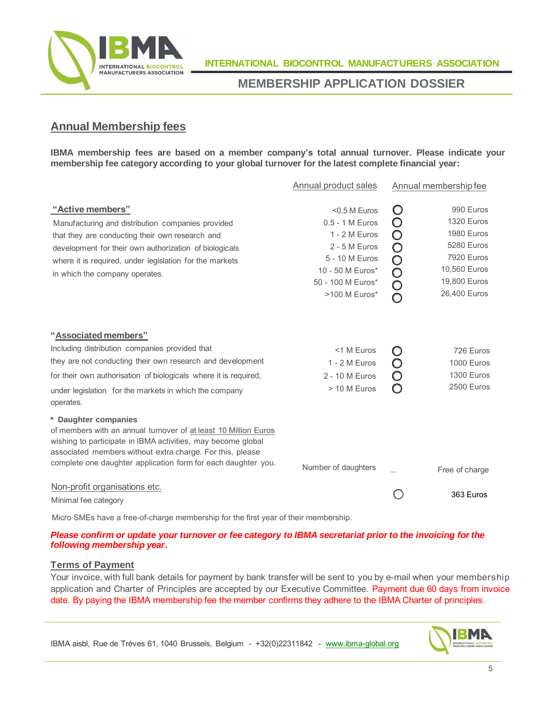

## **Annual Membership fees**

**IBMA membership fees are based on a member company's total annual turnover. Please indicate your membership fee category according to your global turnover for the latest complete financial year:**

|                                                                                                                                                                                                                                                                                       | Annual product sales                                                                                                                               |                                   | Annual membership fee                                                                                             |
|---------------------------------------------------------------------------------------------------------------------------------------------------------------------------------------------------------------------------------------------------------------------------------------|----------------------------------------------------------------------------------------------------------------------------------------------------|-----------------------------------|-------------------------------------------------------------------------------------------------------------------|
| "Active members"<br>Manufacturing and distribution companies provided<br>that they are conducting their own research and<br>development for their own authorization of biologicals<br>where it is required, under legislation for the markets<br>in which the company operates.       | $<$ 0.5 M Euros<br>0.5 - 1 M Euros<br>1 - 2 M Euros<br>$2 - 5$ M Euros<br>5 - 10 M Euros<br>10 - 50 M Euros*<br>50 - 100 M Euros*<br>>100 M Euros* | O<br>O<br>O<br>0000<br>$\bigcirc$ | 990 Euros<br>1320 Euros<br>1980 Euros<br>5280 Euros<br>7920 Euros<br>10,560 Euros<br>19,800 Euros<br>26,400 Euros |
| "Associated members"<br>Including distribution companies provided that<br>they are not conducting their own research and development<br>for their own authorisation of biologicals where it is required,<br>under legislation for the markets in which the company<br>operates.       | <1 M Euros<br>1 - 2 M Euros<br>2 - 10 M Euros<br>> 10 M Euros                                                                                      | $\circ$<br>O                      | 726 Euros<br>1000 Euros<br>1300 Euros<br>2500 Euros                                                               |
| * Daughter companies<br>of members with an annual turnover of at least 10 Million Euros<br>wishing to participate in IBMA activities, may become global<br>associated members without extra charge. For this, please<br>complete one daughter application form for each daughter you. | Number of daughters                                                                                                                                |                                   | Free of charge                                                                                                    |
| Non-profit organisations etc.<br>Minimal fee category                                                                                                                                                                                                                                 |                                                                                                                                                    |                                   | 363 Euros                                                                                                         |

Micro SMEs have a free-of-charge membership for the first year of their membership.

#### Please confirm or update your turnover or fee category to IBMA secretariat prior to the invoicing for the *following membership year***.**

#### **Terms of Payment**

Your invoice, with full bank details for payment by bank transfer will be sent to you by e-mail when your membership application and Charter of Principles are accepted by our Executive Committee. Payment due 60 days from invoice date. By paying the IBMA membership fee the member confirms they adhere to the IBMA Charter of principles.



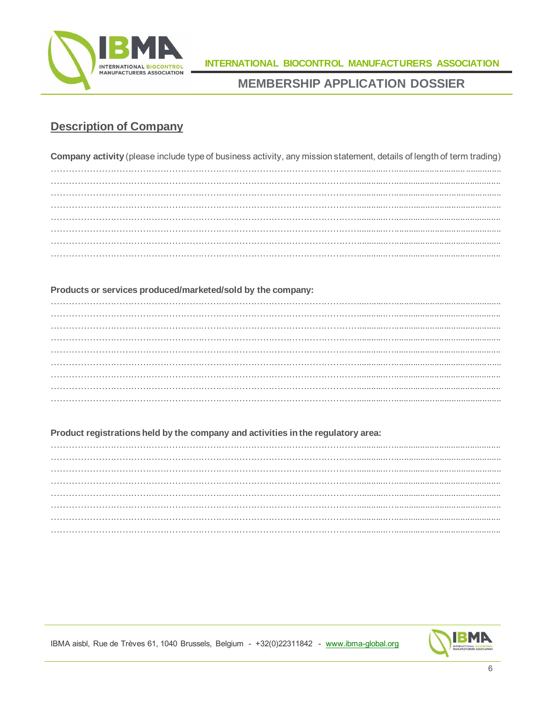

## **Description of Company**

Company activity (please include type of business activity, any mission statement, details of length of term trading) 

#### Products or services produced/marketed/sold by the company:

#### Product registrations held by the company and activities in the regulatory area:



IBMA aisbl, Rue de Trèves 61, 1040 Brussels, Belgium - +32(0)22311842 - www.ibma-global.org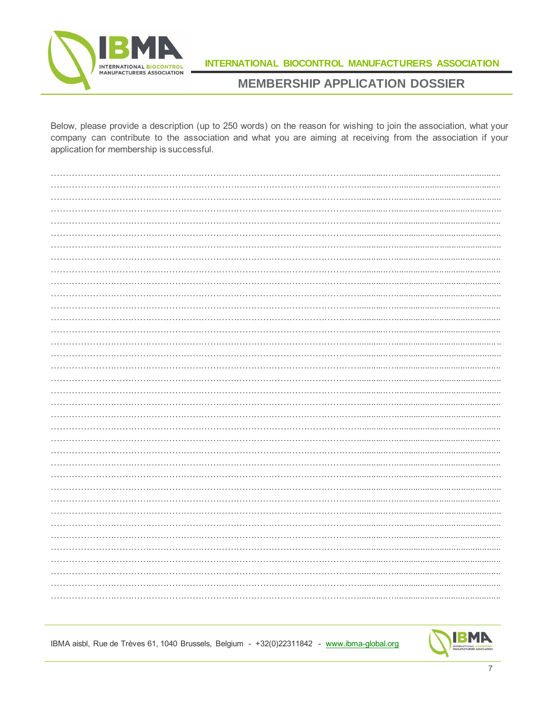

INTERNATIONAL BIOCONTROL MANUFACTURERS ASSOCIATION

## **MEMBERSHIP APPLICATION DOSSIER**

Below, please provide a description (up to 250 words) on the reason for wishing to join the association, what your company can contribute to the association and what you are aiming at receiving from the association if your application for membership is successful.



IBMA aisbl, Rue de Trèves 61, 1040 Brussels, Belgium - +32(0)22311842 - www.ibma-global.org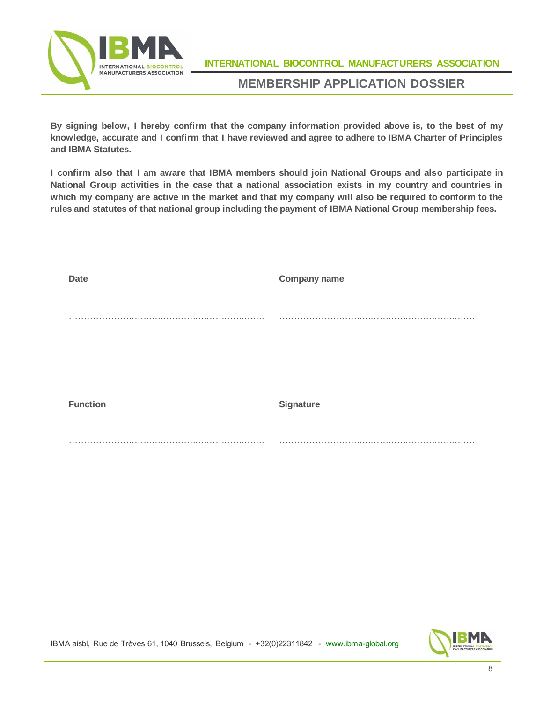

**INTERNATIONAL BIOCONTROL MANUFACTURERS ASSOCIATION**

### **MEMBERSHIP APPLICATION DOSSIER**

**By signing below, I hereby confirm that the company information provided above is, to the best of my knowledge, accurate and I confirm that I have reviewed and agree to adhere to IBMA Charter of Principles and IBMA Statutes.**

**I confirm also that I am aware that IBMA members should join National Groups and also participate in National Group activities in the case that a national association exists in my country and countries in which my company are active in the market and that my company will also be required to conform to the rules and statutes of that national group including the payment of IBMA National Group membership fees.**

| <b>Date</b>     | <b>Company name</b>  |
|-----------------|----------------------|
|                 |                      |
|                 | <b>A</b> 10 <b>A</b> |
|                 |                      |
|                 |                      |
|                 |                      |
|                 |                      |
| <b>Function</b> | Signature            |
|                 |                      |
| . .             | . .<br>.             |



IBMA aisbl, Rue de Trèves 61, 1040 Brussels, Belgium - +32(0)22311842 - [www.ibma-global.org](http://www.ibma-global.org/)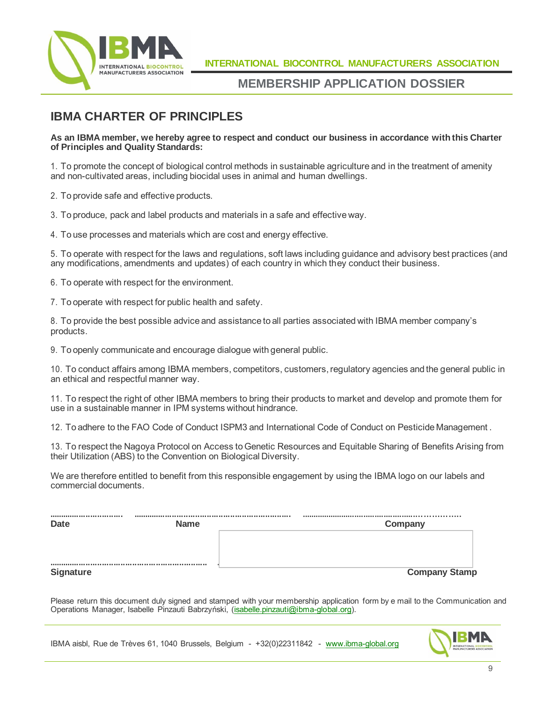

## **IBMA CHARTER OF PRINCIPLES**

#### As an IBMA member, we hereby agree to respect and conduct our business in accordance with this Charter **of Principles and Quality Standards:**

1. To promote the concept of biological control methods in sustainable agriculture and in the treatment of amenity and non-cultivated areas, including biocidal uses in animal and human dwellings.

2. To provide safe and effective products.

3. To produce, pack and label products and materials in a safe and effective way.

4. To use processes and materials which are cost and energy effective.

5. To operate with respect for the laws and regulations, soft laws including guidance and advisory best practices (and any modifications, amendments and updates) of each country in which they conduct their business.

6. To operate with respect for the environment.

7. To operate with respect for public health and safety.

8. To provide the best possible advice and assistance to all parties associated with IBMA member company's products.

9. To openly communicate and encourage dialogue with general public.

10. To conduct affairs among IBMA members, competitors, customers,regulatory agencies and the general public in an ethical and respectful manner way.

11. To respect the right of other IBMA members to bring their products to market and develop and promote them for use in a sustainable manner in IPM systems without hindrance.

12. To adhere to the FAO Code of Conduct ISPM3 and International Code of Conduct on Pesticide Management .

13. To respect the Nagoya Protocol on Access toGenetic Resources and Equitable Sharing of Benefits Arising from their Utilization (ABS) to the Convention on Biological Diversity.

We are therefore entitled to benefit from this responsible engagement by using the IBMA logo on our labels and commercial documents.

| <br><b>Date</b>  | <b>Name</b> | Company              |
|------------------|-------------|----------------------|
|                  |             |                      |
| <b>Signature</b> |             | <b>Company Stamp</b> |

Please return this document duly signed and stamped with your membership application form by e mail to the Communication and Operations Manager, Isabelle Pinzauti Babrzyński, [\(isabelle.pinzauti@ibma-global.org\).](mailto:isabelle.pinzauti@ibma-global.org)